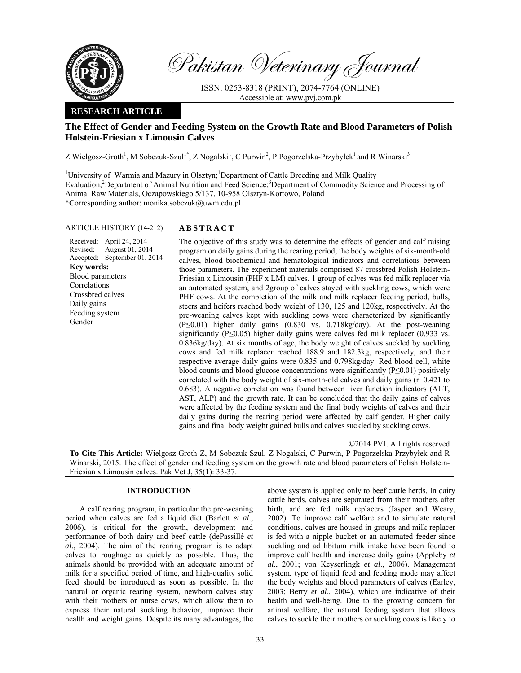

Pakistan Veterinary Journal

ISSN: 0253-8318 (PRINT), 2074-7764 (ONLINE) Accessible at: www.pvj.com.pk

## **RESEARCH ARTICLE**

# **The Effect of Gender and Feeding System on the Growth Rate and Blood Parameters of Polish Holstein-Friesian x Limousin Calves**

Z Wielgosz-Groth<sup>1</sup>, M Sobczuk-Szul<sup>1\*</sup>, Z Nogalski<sup>1</sup>, C Purwin<sup>2</sup>, P Pogorzelska-Przybyłek<sup>1</sup> and R Winarski<sup>3</sup>

<sup>1</sup>University of Warmia and Mazury in Olsztyn;<sup>1</sup>Department of Cattle Breeding and Milk Quality Evaluation;<sup>2</sup>Department of Animal Nutrition and Feed Science;<sup>3</sup>Department of Commodity Science and Processing of Animal Raw Materials, Oczapowskiego 5/137, 10-958 Olsztyn-Kortowo, Poland \*Corresponding author: monika.sobczuk@uwm.edu.pl

## ARTICLE HISTORY (14-212) **ABSTRACT**

Received: Revised: Accepted: April 24, 2014 August 01, 2014 September 01, 2014 **Key words:**  Blood parameters Correlations Crossbred calves Daily gains Feeding system Gender

 The objective of this study was to determine the effects of gender and calf raising program on daily gains during the rearing period, the body weights of six-month-old calves, blood biochemical and hematological indicators and correlations between those parameters. The experiment materials comprised 87 crossbred Polish Holstein-Friesian x Limousin (PHF x LM) calves. 1 group of calves was fed milk replacer via an automated system, and 2group of calves stayed with suckling cows, which were PHF cows. At the completion of the milk and milk replacer feeding period, bulls, steers and heifers reached body weight of 130, 125 and 120kg, respectively. At the pre-weaning calves kept with suckling cows were characterized by significantly (P≤0.01) higher daily gains (0.830 vs. 0.718kg/day). At the post-weaning significantly ( $P \le 0.05$ ) higher daily gains were calves fed milk replacer (0.933 vs. 0.836kg/day). At six months of age, the body weight of calves suckled by suckling cows and fed milk replacer reached 188.9 and 182.3kg, respectively, and their respective average daily gains were 0.835 and 0.798kg/day. Red blood cell, white blood counts and blood glucose concentrations were significantly (P≤0.01) positively correlated with the body weight of six-month-old calves and daily gains (r=0.421 to 0.683). A negative correlation was found between liver function indicators (ALT, AST, ALP) and the growth rate. It can be concluded that the daily gains of calves were affected by the feeding system and the final body weights of calves and their daily gains during the rearing period were affected by calf gender. Higher daily gains and final body weight gained bulls and calves suckled by suckling cows.

©2014 PVJ. All rights reserved

**To Cite This Article:** Wielgosz-Groth Z, M Sobczuk-Szul, Z Nogalski, C Purwin, P Pogorzelska-Przybyłek and R Winarski, 2015. The effect of gender and feeding system on the growth rate and blood parameters of Polish Holstein-Friesian x Limousin calves. Pak Vet J, 35(1): 33-37.

## **INTRODUCTION**

A calf rearing program, in particular the pre-weaning period when calves are fed a liquid diet (Barlett *et al*., 2006), is critical for the growth, development and performance of both dairy and beef cattle (dePassillé *et al*., 2004). The aim of the rearing program is to adapt calves to roughage as quickly as possible. Thus, the animals should be provided with an adequate amount of milk for a specified period of time, and high-quality solid feed should be introduced as soon as possible. In the natural or organic rearing system, newborn calves stay with their mothers or nurse cows, which allow them to express their natural suckling behavior, improve their health and weight gains. Despite its many advantages, the

above system is applied only to beef cattle herds. In dairy cattle herds, calves are separated from their mothers after birth, and are fed milk replacers (Jasper and Weary, 2002). To improve calf welfare and to simulate natural conditions, calves are housed in groups and milk replacer is fed with a nipple bucket or an automated feeder since suckling and ad libitum milk intake have been found to improve calf health and increase daily gains (Appleby *et al*., 2001; von Keyserlingk *et al*., 2006). Management system, type of liquid feed and feeding mode may affect the body weights and blood parameters of calves (Earley, 2003; Berry *et al*., 2004), which are indicative of their health and well-being*.* Due to the growing concern for animal welfare, the natural feeding system that allows calves to suckle their mothers or suckling cows is likely to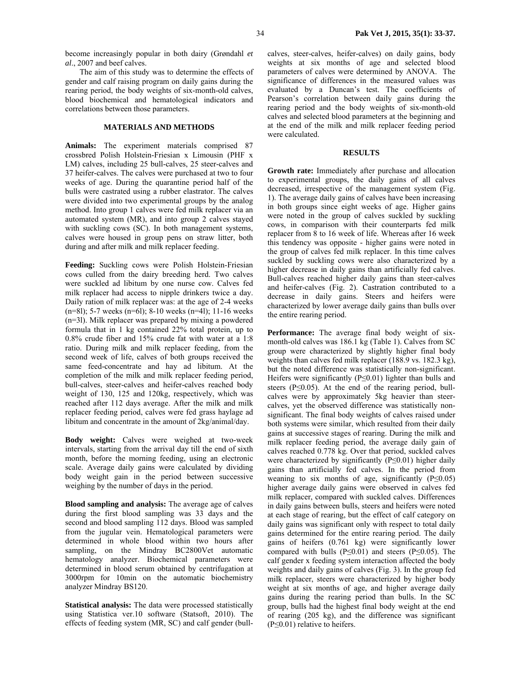become increasingly popular in both dairy (Grøndahl *et al*., 2007 and beef calves.

The aim of this study was to determine the effects of gender and calf raising program on daily gains during the rearing period, the body weights of six-month-old calves, blood biochemical and hematological indicators and correlations between those parameters.

## **MATERIALS AND METHODS**

**Animals:** The experiment materials comprised 87 crossbred Polish Holstein-Friesian x Limousin (PHF x LM) calves, including 25 bull-calves, 25 steer-calves and 37 heifer-calves. The calves were purchased at two to four weeks of age. During the quarantine period half of the bulls were castrated using a rubber elastrator. The calves were divided into two experimental groups by the analog method. Into group 1 calves were fed milk replacer via an automated system (MR), and into group 2 calves stayed with suckling cows (SC). In both management systems, calves were housed in group pens on straw litter, both during and after milk and milk replacer feeding.

**Feeding:** Suckling cows were Polish Holstein-Friesian cows culled from the dairy breeding herd. Two calves were suckled ad libitum by one nurse cow. Calves fed milk replacer had access to nipple drinkers twice a day. Daily ration of milk replacer was: at the age of 2-4 weeks (n=8l); 5-7 weeks (n=6l); 8-10 weeks (n=4l); 11-16 weeks (n=3l). Milk replacer was prepared by mixing a powdered formula that in 1 kg contained 22% total protein, up to 0.8% crude fiber and 15% crude fat with water at a 1:8 ratio. During milk and milk replacer feeding, from the second week of life, calves of both groups received the same feed-concentrate and hay ad libitum. At the completion of the milk and milk replacer feeding period, bull-calves, steer-calves and heifer-calves reached body weight of 130, 125 and 120kg, respectively, which was reached after 112 days average. After the milk and milk replacer feeding period, calves were fed grass haylage ad libitum and concentrate in the amount of 2kg/animal/day.

**Body weight:** Calves were weighed at two-week intervals, starting from the arrival day till the end of sixth month, before the morning feeding, using an electronic scale. Average daily gains were calculated by dividing body weight gain in the period between successive weighing by the number of days in the period.

**Blood sampling and analysis:** The average age of calves during the first blood sampling was 33 days and the second and blood sampling 112 days. Blood was sampled from the jugular vein. Hematological parameters were determined in whole blood within two hours after sampling, on the Mindray BC2800Vet automatic hematology analyzer. Biochemical parameters were determined in blood serum obtained by centrifugation at 3000rpm for 10min on the automatic biochemistry analyzer Mindray BS120.

**Statistical analysis:** The data were processed statistically using Statistica ver.10 software (Statsoft, 2010). The effects of feeding system (MR, SC) and calf gender (bullcalves, steer-calves, heifer-calves) on daily gains, body weights at six months of age and selected blood parameters of calves were determined by ANOVA. The significance of differences in the measured values was evaluated by a Duncan's test. The coefficients of Pearson's correlation between daily gains during the rearing period and the body weights of six-month-old calves and selected blood parameters at the beginning and at the end of the milk and milk replacer feeding period were calculated.

#### **RESULTS**

**Growth rate:** Immediately after purchase and allocation to experimental groups, the daily gains of all calves decreased, irrespective of the management system (Fig. 1). The average daily gains of calves have been increasing in both groups since eight weeks of age. Higher gains were noted in the group of calves suckled by suckling cows, in comparison with their counterparts fed milk replacer from 8 to 16 week of life. Whereas after 16 week this tendency was opposite - higher gains were noted in the group of calves fed milk replacer. In this time calves suckled by suckling cows were also characterized by a higher decrease in daily gains than artificially fed calves. Bull-calves reached higher daily gains than steer-calves and heifer-calves (Fig. 2). Castration contributed to a decrease in daily gains. Steers and heifers were characterized by lower average daily gains than bulls over the entire rearing period.

**Performance:** The average final body weight of sixmonth-old calves was 186.1 kg (Table 1). Calves from SC group were characterized by slightly higher final body weights than calves fed milk replacer (188.9 vs. 182.3 kg), but the noted difference was statistically non-significant. Heifers were significantly (P≤0.01) lighter than bulls and steers ( $P \le 0.05$ ). At the end of the rearing period, bullcalves were by approximately 5kg heavier than steercalves, yet the observed difference was statistically nonsignificant. The final body weights of calves raised under both systems were similar, which resulted from their daily gains at successive stages of rearing. During the milk and milk replacer feeding period, the average daily gain of calves reached 0.778 kg. Over that period, suckled calves were characterized by significantly (P≤0.01) higher daily gains than artificially fed calves. In the period from weaning to six months of age, significantly  $(P \le 0.05)$ higher average daily gains were observed in calves fed milk replacer, compared with suckled calves. Differences in daily gains between bulls, steers and heifers were noted at each stage of rearing, but the effect of calf category on daily gains was significant only with respect to total daily gains determined for the entire rearing period. The daily gains of heifers (0.761 kg) were significantly lower compared with bulls ( $P \le 0.01$ ) and steers ( $P \le 0.05$ ). The calf gender x feeding system interaction affected the body weights and daily gains of calves (Fig. 3). In the group fed milk replacer, steers were characterized by higher body weight at six months of age, and higher average daily gains during the rearing period than bulls. In the SC group, bulls had the highest final body weight at the end of rearing (205 kg), and the difference was significant  $(P \le 0.01)$  relative to heifers.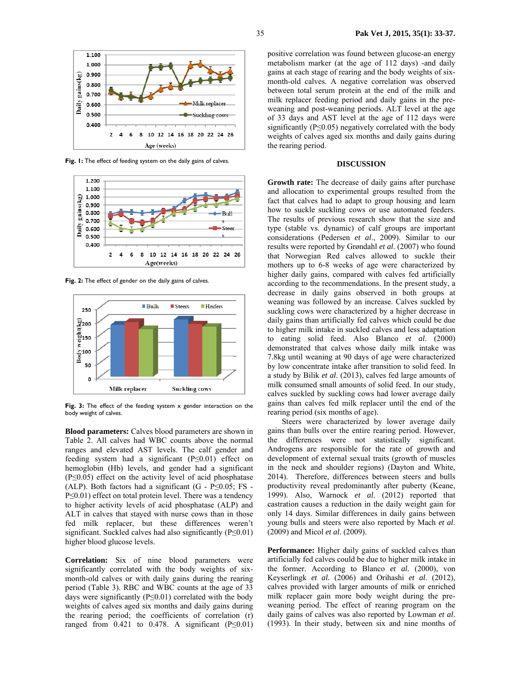

Fig. 1: The effect of feeding system on the daily gains of calves.



Fig. 2: The effect of gender on the daily gains of calves.



Fig. 3: The effect of the feeding system x gender interaction on the body weight of calves.

**Blood parameters:** Calves blood parameters are shown in Table 2. All calves had WBC counts above the normal ranges and elevated AST levels. The calf gender and feeding system had a significant (P≤0.01) effect on hemoglobin (Hb) levels, and gender had a significant  $(P \le 0.05)$  effect on the activity level of acid phosphatase (ALP). Both factors had a significant  $(G - P \le 0.05; FS -$ P≤0.01) effect on total protein level. There was a tendency to higher activity levels of acid phosphatase (ALP) and ALT in calves that stayed with nurse cows than in those fed milk replacer, but these differences weren't significant. Suckled calves had also significantly (P≤0.01) higher blood glucose levels.

**Correlation:** Six of nine blood parameters were significantly correlated with the body weights of sixmonth-old calves or with daily gains during the rearing period (Table 3). RBC and WBC counts at the age of 33 days were significantly (P≤0.01) correlated with the body weights of calves aged six months and daily gains during the rearing period; the coefficients of correlation (r) ranged from 0.421 to 0.478. A significant  $(P \le 0.01)$ 

positive correlation was found between glucose-an energy metabolism marker (at the age of 112 days) -and daily gains at each stage of rearing and the body weights of sixmonth-old calves. A negative correlation was observed between total serum protein at the end of the milk and milk replacer feeding period and daily gains in the preweaning and post-weaning periods. ALT level at the age of 33 days and AST level at the age of 112 days were significantly ( $P \le 0.05$ ) negatively correlated with the body weights of calves aged six months and daily gains during the rearing period.

## **DISCUSSION**

**Growth rate:** The decrease of daily gains after purchase and allocation to experimental groups resulted from the fact that calves had to adapt to group housing and learn how to suckle suckling cows or use automated feeders. The results of previous research show that the size and type (stable vs. dynamic) of calf groups are important considerations (Pedersen *et al*., 2009). Similar to our results were reported by Grøndahl *et al*. (2007) who found that Norwegian Red calves allowed to suckle their mothers up to 6-8 weeks of age were characterized by higher daily gains, compared with calves fed artificially according to the recommendations. In the present study, a decrease in daily gains observed in both groups at weaning was followed by an increase. Calves suckled by suckling cows were characterized by a higher decrease in daily gains than artificially fed calves which could be due to higher milk intake in suckled calves and less adaptation to eating solid feed. Also Blanco *et al*. (2000) demonstrated that calves whose daily milk intake was 7.8kg until weaning at 90 days of age were characterized by low concentrate intake after transition to solid feed. In a study by Bilik *et al*. (2013), calves fed large amounts of milk consumed small amounts of solid feed. In our study, calves suckled by suckling cows had lower average daily gains than calves fed milk replacer until the end of the rearing period (six months of age).

Steers were characterized by lower average daily gains than bulls over the entire rearing period. However, the differences were not statistically significant. Androgens are responsible for the rate of growth and development of external sexual traits (growth of muscles in the neck and shoulder regions) (Dayton and White, 2014). Therefore, differences between steers and bulls productivity reveal predominantly after puberty (Keane, 1999). Also, Warnock *et al*. (2012) reported that castration causes a reduction in the daily weight gain for only 14 days. Similar differences in daily gains between young bulls and steers were also reported by Mach *et al*. (2009) and Micol *et al*. (2009).

**Performance:** Higher daily gains of suckled calves than artificially fed calves could be due to higher milk intake in the former. According to Blanco *et al.* (2000), von Keyserlingk *et al.* (2006) and Orihashi *et al*. (2012), calves provided with larger amounts of milk or enriched milk replacer gain more body weight during the preweaning period. The effect of rearing program on the daily gains of calves was also reported by Lowman *et al*. (1993). In their study, between six and nine months of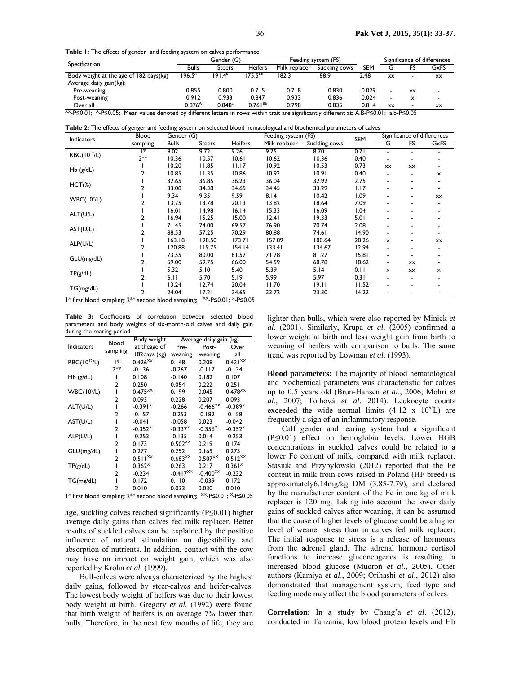**Table 1:** The effects of gender and feeding system on calves performance

| Specification                                                               | Gender (G)         |                      |                | Feeding system (FS) |               | Significance of differences |                          |           |                          |
|-----------------------------------------------------------------------------|--------------------|----------------------|----------------|---------------------|---------------|-----------------------------|--------------------------|-----------|--------------------------|
|                                                                             | <b>Bulls</b>       | Steers               | <b>Heifers</b> | Milk replacer       | Suckling cows | <b>SEM</b>                  |                          |           | GxFS                     |
| Body weight at the age of 182 days(kg)                                      | 196.5 <sup>A</sup> | 191.4ª               | $175.5^{Bb}$   | 182.3               | 188.9         | 2.48                        | XX                       | -         | <b>XX</b>                |
| Average daily gain(kg):                                                     |                    |                      |                |                     |               |                             |                          |           |                          |
| Pre-weaning                                                                 | 0.855              | 0.800                | 0.715          | 0.718               | 0.830         | 0.029                       |                          | <b>XX</b> | $\overline{\phantom{0}}$ |
| Post-weaning                                                                | 0.912              | 0.933                | 0.847          | 0.933               | 0.836         | 0.024                       | $\overline{\phantom{a}}$ | ᄎ         | $\overline{\phantom{a}}$ |
| Over all<br>$XX$ D <sub>C</sub> A AL $X$ D <sub>C</sub> A AP M <sub>c</sub> | $0.876^{A}$        | $0.848$ <sup>a</sup> | $0.761^{Bb}$   | 0.798               | 0.835         | 0.014                       | XX                       | -         | XX                       |

0.761Bb 0.798 0.835 0.014 xx - xx XX-P≤0.01; X-P≤0.05; Mean values denoted by different letters in rows within trait are significantly different at: A.B-P≤0.01; a.b-P≤0.05

| Table 2: The effects of genger and feeding system on selected blood hematological and biochemical parameters of calves |  |
|------------------------------------------------------------------------------------------------------------------------|--|
|------------------------------------------------------------------------------------------------------------------------|--|

| Indicators                               | Blood      | Gender (G)                        |               |                                                         | Feeding system (FS) |               |       | Significance of differences |           |      |
|------------------------------------------|------------|-----------------------------------|---------------|---------------------------------------------------------|---------------------|---------------|-------|-----------------------------|-----------|------|
|                                          | sampling   | <b>Bulls</b>                      | <b>Steers</b> | <b>Heifers</b>                                          | Milk replacer       | Suckling cows | SEM   | G                           | FS        | GxFS |
| RBC(10 <sup>12</sup> /L)                 | *          | 9.02                              | 9.72          | 9.26                                                    | 9.75                | 8.70          | 0.71  | $\blacksquare$              |           |      |
|                                          | 2**        | 10.36                             | 10.57         | 10.61                                                   | 10.62               | 10.36         | 0.40  |                             |           |      |
| $Hb$ ( $g/dL$ )                          |            | 10.20                             | 11.85         | 11.17                                                   | 10.92               | 10.53         | 0.73  | <b>XX</b>                   | XX        |      |
|                                          |            | 10.85                             | 11.35         | 10.86                                                   | 10.92               | 10.91         | 0.40  |                             |           | x    |
| $HCT(\%)$                                |            | 32.65                             | 36.85         | 36.23                                                   | 36.04               | 32.92         | 2.75  | $\blacksquare$              |           |      |
|                                          |            | 33.08                             | 34.38         | 34.65                                                   | 34.45               | 33.29         | 1.17  |                             |           |      |
| WBC(10 <sup>9</sup> /L)                  |            | 9.34                              | 9.35          | 9.59                                                    | 8.14                | 10.42         | 1.09  |                             |           | XX   |
|                                          |            | 13.75                             | 13.78         | 20.13                                                   | 13.82               | 18.64         | 7.09  |                             |           |      |
| ALT(U/L)                                 |            | 16.01                             | 14.98         | 16.14                                                   | 15.33               | 16.09         | 1.04  |                             |           |      |
|                                          |            | 16.94                             | 15.25         | 15.00                                                   | 12.41               | 19.33         | 5.01  |                             |           |      |
| AST(U/L)                                 |            | 71.45                             | 74.00         | 69.57                                                   | 76.90               | 70.74         | 2.08  |                             |           |      |
|                                          |            | 88.53                             | 57.25         | 70.29                                                   | 80.88               | 74.61         | 14.90 | $\overline{\phantom{0}}$    |           |      |
| ALP(U/L)                                 |            | 163.18                            | 198.50        | 173.71                                                  | 157.89              | 180.64        | 28.26 | x                           |           | XX   |
|                                          |            | 120.88                            | 119.75        | 154.14                                                  | 133.41              | 134.67        | 12.94 |                             |           |      |
| GLU(mg/dL)                               |            | 73.55                             | 80.00         | 81.57                                                   | 71.78               | 81.27         | 15.81 | $\overline{\phantom{0}}$    |           |      |
|                                          |            | 59.00                             | 59.75         | 66.00                                                   | 54.59               | 68.78         | 18.62 | $\blacksquare$              | <b>XX</b> |      |
| TP(g/dL)                                 |            | 5.32                              | 5.10          | 5.40                                                    | 5.39                | 5.14          | 0.11  | x                           | XX        | x    |
|                                          |            | 6.11                              | 5.70          | 5.19                                                    | 5.99                | 5.97          | 0.31  |                             |           |      |
| TG(mg/dL)<br>$1 + 2 - 1$<br>$\mathbf{r}$ |            | 13.24                             | 12.74         | 20.04                                                   | 11.70               | 19.11         | 11.52 | $\blacksquare$              |           |      |
|                                          | <b>Add</b> | 24.04<br>$\cdots$<br>$\mathbf{r}$ | 17.21         | 24.65<br>$YY$ B <sub>20</sub> 01 $Y$ B <sub>20</sub> 05 | 23.72               | 23.30         | 14.22 |                             |           |      |

1\* first blood sampling; 2<sup>\*\*</sup> second blood sampling; <sup>XX</sup>-P≤0.01; <sup>X</sup>-P≤0.05

**Table 3:** Coefficients of correlation between selected blood parameters and body weights of six-month-old calves and daily gain during the rearing period

|                                                                                                    | Blood          | Body weight           | Average daily gain (kg) |              |                    |  |  |
|----------------------------------------------------------------------------------------------------|----------------|-----------------------|-------------------------|--------------|--------------------|--|--|
| Indicators                                                                                         | sampling       | at theage of          | Pre-                    | Post-        | Over               |  |  |
|                                                                                                    |                | 182 days (kg)         | weaning                 | weaning      | all                |  |  |
| $RBC(10^{12}/L)$                                                                                   | l*             | $0.426^{XX}$          | 0.148                   | 0.208        | $0.421^{X}$        |  |  |
|                                                                                                    | $2**$          | $-0.136$              | $-0.267$                | $-0.117$     | $-0.134$           |  |  |
| $Hb$ ( $g/dL$ )                                                                                    | ı              | 0.108                 | $-0.140$                | 0.182        | 0.107              |  |  |
|                                                                                                    | $\overline{2}$ | 0.250                 | 0.054                   | 0.222        | 0.251              |  |  |
| WBC(10 <sup>9</sup> /L)                                                                            | ı              | $0.475^{XX}$          | 0.199                   | 0.045        | $0.478^{X}$        |  |  |
|                                                                                                    | 2              | 0.093                 | 0.228                   | 0.207        | 0.093              |  |  |
| ALT(U/L)                                                                                           | ı              | $-0.391^{\times}$     | $-0.266$                | $-0.466^{X}$ | $-0.389×$          |  |  |
|                                                                                                    | 2              | $-0.157$              | $-0.253$                | $-0.182$     | $-0.158$           |  |  |
| AST(U/L)                                                                                           | I              | $-0.041$              | $-0.058$                | 0.023        | $-0.042$           |  |  |
|                                                                                                    | 2              | $-0.352×$             | $-0.337^{\times}$       | $-0.356^{x}$ | $-0.352×$          |  |  |
| ALP(U/L)                                                                                           | ı              | $-0.253$              | $-0.135$                | 0.014        | $-0.253$           |  |  |
|                                                                                                    | 2              | 0.173                 | $0.502^{X}$             | 0.219        | 0.174              |  |  |
| GLU(mg/dL)                                                                                         | ı              | 0.277                 | 0.252                   | 0.169        | 0.275              |  |  |
|                                                                                                    | 2              | $0.511$ <sup>XX</sup> | $0.683^{X}$             | $0.507^{XX}$ | $0.512^{X}$        |  |  |
| TP(g/dL)                                                                                           | ı              | $0.362^{\times}$      | 0.263                   | 0.217        | 0.361 <sup>×</sup> |  |  |
|                                                                                                    | 2              | $-0.234$              | $-0.417^{X}$            | $-0.400^{X}$ | $-0.232$           |  |  |
| TG(mg/dL)                                                                                          | ı              | 0.172                 | 0.110                   | $-0.039$     | 0.172              |  |  |
|                                                                                                    | 2              | 0.010                 | 0.033                   | 0.030        | 0.010              |  |  |
| <sup>XX</sup> -P≤0.01; <sup>X</sup> -P≤0.05<br>1* first blood sampling; 2** second blood sampling; |                |                       |                         |              |                    |  |  |

age, suckling calves reached significantly (P≤0.01) higher average daily gains than calves fed milk replacer. Better results of suckled calves can be explained by the positive influence of natural stimulation on digestibility and absorption of nutrients. In addition, contact with the cow may have an impact on weight gain, which was also reported by Krohn *et al.* (1999).

Bull-calves were always characterized by the highest daily gains, followed by steer-calves and heifer-calves. The lowest body weight of heifers was due to their lowest body weight at birth. Gregory *et al.* (1992) were found that birth weight of heifers is on average 7% lower than bulls. Therefore, in the next few months of life, they are

lighter than bulls, which were also reported by Minick *et al*. (2001). Similarly, Krupa *et al*. (2005) confirmed a lower weight at birth and less weight gain from birth to weaning of heifers with comparison to bulls. The same trend was reported by Lowman *et al*. (1993).

**Blood parameters:** The majority of blood hematological and biochemical parameters was characteristic for calves up to 0.5 years old (Brun-Hansen *et al*., 2006; Mohri *et al*., 2007; Tóthová *et al*. 2014). Leukocyte counts exceeded the wide normal limits  $(4-12 \times 10^{9}L)$  are frequently a sign of an inflammatory response.

Calf gender and rearing system had a significant (P≤0.01) effect on hemoglobin levels. Lower HGB concentrations in suckled calves could be related to a lower Fe content of milk, compared with milk replacer. Stasiuk and Przybyłowski (2012) reported that the Fe content in milk from cows raised in Poland (HF breed) is approximately6.14mg/kg DM (3.85-7.79), and declared by the manufacturer content of the Fe in one kg of milk replacer is 120 mg. Taking into account the lower daily gains of suckled calves after weaning, it can be assumed that the cause of higher levels of glucose could be a higher level of weaner stress than in calves fed milk replacer. The initial response to stress is a release of hormones from the adrenal gland. The adrenal hormone cortisol functions to increase gluconeogenes is resulting in increased blood glucose (Mudroň *et al*., 2005). Other authors (Kamiya *et al*., 2009; Orihashi *et al*., 2012) also demonstrated that management system, feed type and feeding mode may affect the blood parameters of calves.

**Correlation:** In a study by Chang'a *et al*. (2012), conducted in Tanzania, low blood protein levels and Hb